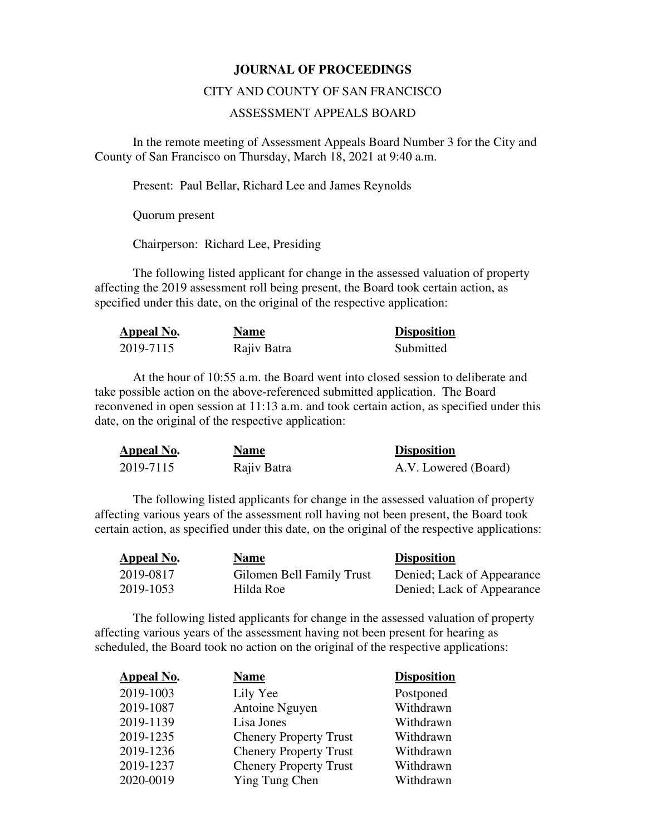## **JOURNAL OF PROCEEDINGS**

## CITY AND COUNTY OF SAN FRANCISCO

## ASSESSMENT APPEALS BOARD

 In the remote meeting of Assessment Appeals Board Number 3 for the City and County of San Francisco on Thursday, March 18, 2021 at 9:40 a.m.

Present: Paul Bellar, Richard Lee and James Reynolds

Quorum present

Chairperson: Richard Lee, Presiding

The following listed applicant for change in the assessed valuation of property affecting the 2019 assessment roll being present, the Board took certain action, as specified under this date, on the original of the respective application:

| Appeal No. | <b>Name</b> | <b>Disposition</b> |
|------------|-------------|--------------------|
| 2019-7115  | Rajiv Batra | Submitted          |

At the hour of 10:55 a.m. the Board went into closed session to deliberate and take possible action on the above-referenced submitted application. The Board reconvened in open session at 11:13 a.m. and took certain action, as specified under this date, on the original of the respective application:

| Appeal No. | <b>Name</b> | <b>Disposition</b>   |
|------------|-------------|----------------------|
| 2019-7115  | Rajiv Batra | A.V. Lowered (Board) |

The following listed applicants for change in the assessed valuation of property affecting various years of the assessment roll having not been present, the Board took certain action, as specified under this date, on the original of the respective applications:

| <b>Appeal No.</b> | <b>Name</b>               | <b>Disposition</b>         |
|-------------------|---------------------------|----------------------------|
| 2019-0817         | Gilomen Bell Family Trust | Denied; Lack of Appearance |
| 2019-1053         | Hilda Roe                 | Denied; Lack of Appearance |

The following listed applicants for change in the assessed valuation of property affecting various years of the assessment having not been present for hearing as scheduled, the Board took no action on the original of the respective applications:

| <b>Appeal No.</b> | Name                          | <b>Disposition</b> |
|-------------------|-------------------------------|--------------------|
| 2019-1003         | Lily Yee                      | Postponed          |
| 2019-1087         | Antoine Nguyen                | Withdrawn          |
| 2019-1139         | Lisa Jones                    | Withdrawn          |
| 2019-1235         | <b>Chenery Property Trust</b> | Withdrawn          |
| 2019-1236         | <b>Chenery Property Trust</b> | Withdrawn          |
| 2019-1237         | <b>Chenery Property Trust</b> | Withdrawn          |
| 2020-0019         | Ying Tung Chen                | Withdrawn          |